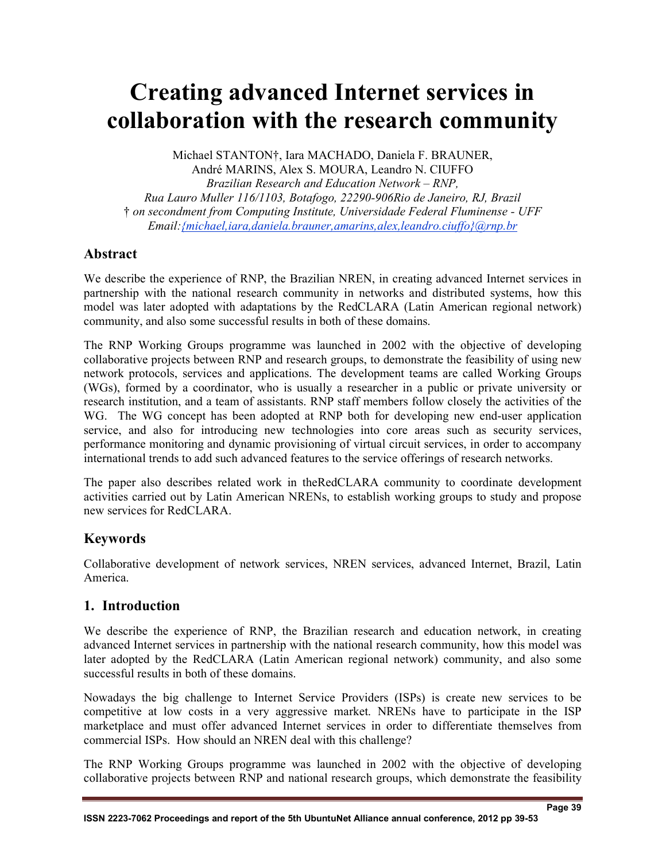# **Creating advanced Internet services in collaboration with the research community**

Michael STANTON†, Iara MACHADO, Daniela F. BRAUNER, André MARINS, Alex S. MOURA, Leandro N. CIUFFO *Brazilian Research and Education Network – RNP, Rua Lauro Muller 116/1103, Botafogo, 22290-906Rio de Janeiro, RJ, Brazil*  † *on secondment from Computing Institute, Universidade Federal Fluminense - UFF Email:{michael,iara,daniela.brauner,amarins,alex,leandro.ciuffo}@rnp.br*

## **Abstract**

We describe the experience of RNP, the Brazilian NREN, in creating advanced Internet services in partnership with the national research community in networks and distributed systems, how this model was later adopted with adaptations by the RedCLARA (Latin American regional network) community, and also some successful results in both of these domains.

The RNP Working Groups programme was launched in 2002 with the objective of developing collaborative projects between RNP and research groups, to demonstrate the feasibility of using new network protocols, services and applications. The development teams are called Working Groups (WGs), formed by a coordinator, who is usually a researcher in a public or private university or research institution, and a team of assistants. RNP staff members follow closely the activities of the WG. The WG concept has been adopted at RNP both for developing new end-user application service, and also for introducing new technologies into core areas such as security services, performance monitoring and dynamic provisioning of virtual circuit services, in order to accompany international trends to add such advanced features to the service offerings of research networks.

The paper also describes related work in theRedCLARA community to coordinate development activities carried out by Latin American NRENs, to establish working groups to study and propose new services for RedCLARA.

## **Keywords**

Collaborative development of network services, NREN services, advanced Internet, Brazil, Latin America.

## **1. Introduction**

We describe the experience of RNP, the Brazilian research and education network, in creating advanced Internet services in partnership with the national research community, how this model was later adopted by the RedCLARA (Latin American regional network) community, and also some successful results in both of these domains.

Nowadays the big challenge to Internet Service Providers (ISPs) is create new services to be competitive at low costs in a very aggressive market. NRENs have to participate in the ISP marketplace and must offer advanced Internet services in order to differentiate themselves from commercial ISPs. How should an NREN deal with this challenge?

The RNP Working Groups programme was launched in 2002 with the objective of developing collaborative projects between RNP and national research groups, which demonstrate the feasibility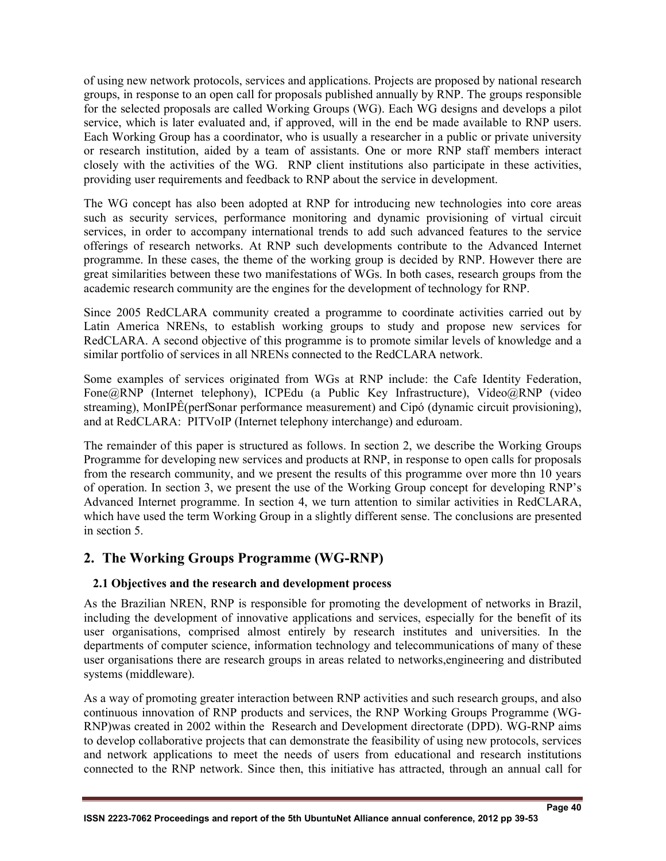of using new network protocols, services and applications. Projects are proposed by national research groups, in response to an open call for proposals published annually by RNP. The groups responsible for the selected proposals are called Working Groups (WG). Each WG designs and develops a pilot service, which is later evaluated and, if approved, will in the end be made available to RNP users. Each Working Group has a coordinator, who is usually a researcher in a public or private university or research institution, aided by a team of assistants. One or more RNP staff members interact closely with the activities of the WG. RNP client institutions also participate in these activities, providing user requirements and feedback to RNP about the service in development.

The WG concept has also been adopted at RNP for introducing new technologies into core areas such as security services, performance monitoring and dynamic provisioning of virtual circuit services, in order to accompany international trends to add such advanced features to the service offerings of research networks. At RNP such developments contribute to the Advanced Internet programme. In these cases, the theme of the working group is decided by RNP. However there are great similarities between these two manifestations of WGs. In both cases, research groups from the academic research community are the engines for the development of technology for RNP.

Since 2005 RedCLARA community created a programme to coordinate activities carried out by Latin America NRENs, to establish working groups to study and propose new services for RedCLARA. A second objective of this programme is to promote similar levels of knowledge and a similar portfolio of services in all NRENs connected to the RedCLARA network.

Some examples of services originated from WGs at RNP include: the Cafe Identity Federation, Fone@RNP (Internet telephony), ICPEdu (a Public Key Infrastructure), Video@RNP (video streaming), MonIPÊ(perfSonar performance measurement) and Cipó (dynamic circuit provisioning), and at RedCLARA: PITVoIP (Internet telephony interchange) and eduroam.

The remainder of this paper is structured as follows. In section 2, we describe the Working Groups Programme for developing new services and products at RNP, in response to open calls for proposals from the research community, and we present the results of this programme over more thn 10 years of operation. In section 3, we present the use of the Working Group concept for developing RNP's Advanced Internet programme. In section 4, we turn attention to similar activities in RedCLARA, which have used the term Working Group in a slightly different sense. The conclusions are presented in section 5.

## **2. The Working Groups Programme (WG-RNP)**

#### **2.1 Objectives and the research and development process**

As the Brazilian NREN, RNP is responsible for promoting the development of networks in Brazil, including the development of innovative applications and services, especially for the benefit of its user organisations, comprised almost entirely by research institutes and universities. In the departments of computer science, information technology and telecommunications of many of these user organisations there are research groups in areas related to networks,engineering and distributed systems (middleware).

As a way of promoting greater interaction between RNP activities and such research groups, and also continuous innovation of RNP products and services, the RNP Working Groups Programme (WG-RNP)was created in 2002 within the Research and Development directorate (DPD). WG-RNP aims to develop collaborative projects that can demonstrate the feasibility of using new protocols, services and network applications to meet the needs of users from educational and research institutions connected to the RNP network. Since then, this initiative has attracted, through an annual call for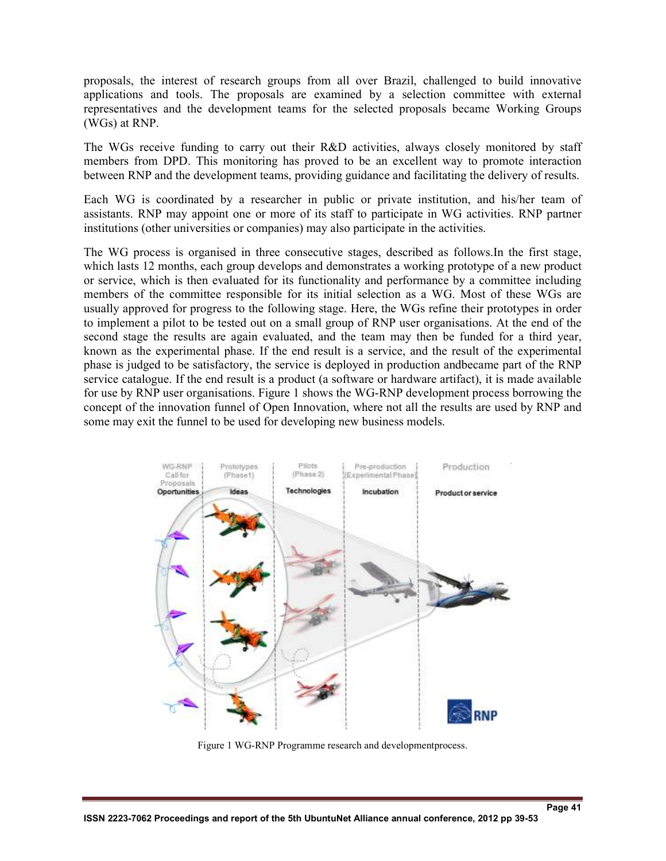proposals, the interest of research groups from all over Brazil, challenged to build innovative applications and tools. The proposals are examined by a selection committee with external representatives and the development teams for the selected proposals became Working Groups (WGs) at RNP.

The WGs receive funding to carry out their R&D activities, always closely monitored by staff members from DPD. This monitoring has proved to be an excellent way to promote interaction between RNP and the development teams, providing guidance and facilitating the delivery of results.

Each WG is coordinated by a researcher in public or private institution, and his/her team of assistants. RNP may appoint one or more of its staff to participate in WG activities. RNP partner institutions (other universities or companies) may also participate in the activities.

The WG process is organised in three consecutive stages, described as follows.In the first stage, which lasts 12 months, each group develops and demonstrates a working prototype of a new product or service, which is then evaluated for its functionality and performance by a committee including members of the committee responsible for its initial selection as a WG. Most of these WGs are usually approved for progress to the following stage. Here, the WGs refine their prototypes in order to implement a pilot to be tested out on a small group of RNP user organisations. At the end of the second stage the results are again evaluated, and the team may then be funded for a third year, known as the experimental phase. If the end result is a service, and the result of the experimental phase is judged to be satisfactory, the service is deployed in production andbecame part of the RNP service catalogue. If the end result is a product (a software or hardware artifact), it is made available for use by RNP user organisations. Figure 1 shows the WG-RNP development process borrowing the concept of the innovation funnel of Open Innovation, where not all the results are used by RNP and some may exit the funnel to be used for developing new business models.



Figure 1 WG-RNP Programme research and developmentprocess.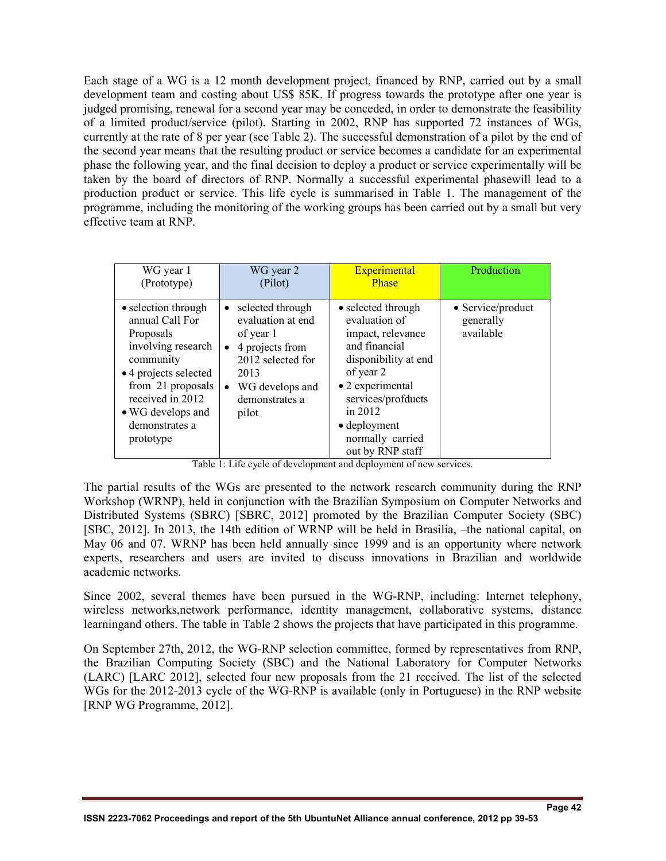Each stage of a WG is a 12 month development project, financed by RNP, carried out by a small development team and costing about US\$ 85K. If progress towards the prototype after one year is judged promising, renewal for a second year may be conceded, in order to demonstrate the feasibility of a limited product/service (pilot). Starting in 2002, RNP has supported 72 instances of WGs, currently at the rate of 8 per year (see Table 2). The successful demonstration of a pilot by the end of the second year means that the resulting product or service becomes a candidate for an experimental phase the following year, and the final decision to deploy a product or service experimentally will be taken by the board of directors of RNP. Normally a successful experimental phasewill lead to a production product or service. This life cycle is summarised in Table 1. The management of the programme, including the monitoring of the working groups has been carried out by a small but very effective team at RNP.

| WG year 1                                                                                                                                                                                                    | WG year 2                                                                                                                                                                    | Experimental                                                                                                                                                                                                                        | Production                                  |
|--------------------------------------------------------------------------------------------------------------------------------------------------------------------------------------------------------------|------------------------------------------------------------------------------------------------------------------------------------------------------------------------------|-------------------------------------------------------------------------------------------------------------------------------------------------------------------------------------------------------------------------------------|---------------------------------------------|
| (Prototype)                                                                                                                                                                                                  | (Pilot)                                                                                                                                                                      | Phase                                                                                                                                                                                                                               |                                             |
| • selection through<br>annual Call For<br>Proposals<br>involving research<br>community<br>• 4 projects selected<br>from 21 proposals<br>received in 2012<br>• WG develops and<br>demonstrates a<br>prototype | • selected through<br>evaluation at end<br>of year 1<br>4 projects from<br>$\bullet$<br>2012 selected for<br>2013<br>WG develops and<br>$\bullet$<br>demonstrates a<br>pilot | • selected through<br>evaluation of<br>impact, relevance<br>and financial<br>disponibility at end<br>of year 2<br>• 2 experimental<br>services/profducts<br>in 2012<br>$\bullet$ deployment<br>normally carried<br>out by RNP staff | • Service/product<br>generally<br>available |

Table 1: Life cycle of development and deployment of new services.

The partial results of the WGs are presented to the network research community during the RNP Workshop (WRNP), held in conjunction with the Brazilian Symposium on Computer Networks and Distributed Systems (SBRC) [SBRC, 2012] promoted by the Brazilian Computer Society (SBC) [SBC, 2012]. In 2013, the 14th edition of WRNP will be held in Brasilia, –the national capital, on May 06 and 07. WRNP has been held annually since 1999 and is an opportunity where network experts, researchers and users are invited to discuss innovations in Brazilian and worldwide academic networks.

Since 2002, several themes have been pursued in the WG-RNP, including: Internet telephony, wireless networks,network performance, identity management, collaborative systems, distance learningand others. The table in Table 2 shows the projects that have participated in this programme.

On September 27th, 2012, the WG-RNP selection committee, formed by representatives from RNP, the Brazilian Computing Society (SBC) and the National Laboratory for Computer Networks (LARC) [LARC 2012], selected four new proposals from the 21 received. The list of the selected WGs for the 2012-2013 cycle of the WG-RNP is available (only in Portuguese) in the RNP website [RNP WG Programme, 2012].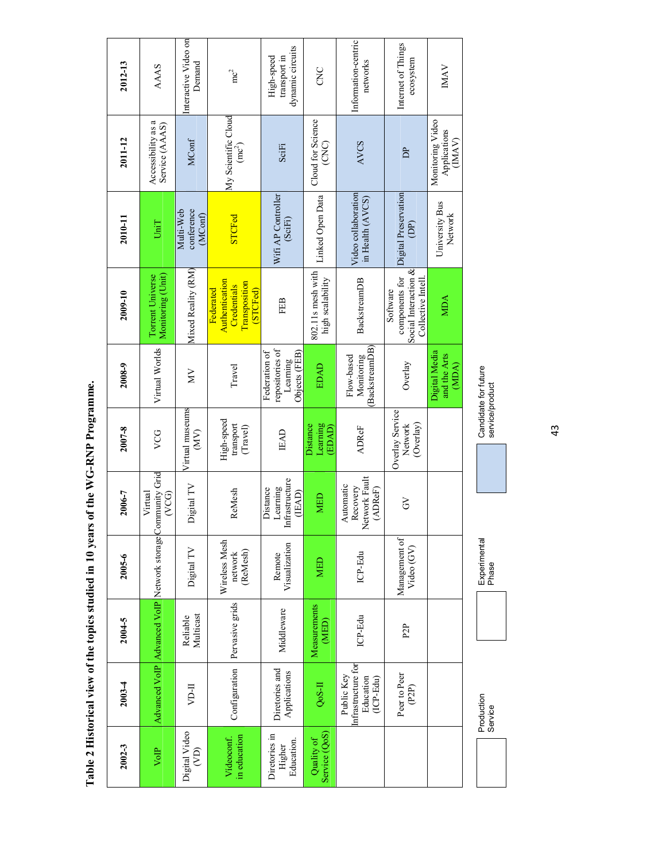| 2012-13    | <b>AAAS</b>                                                                    | Interactive Video on<br>Demand            | mc <sup>2</sup>                                                         | dynamic circuits<br>transport in<br>High-speed                | CNC                                   | Information-centric<br>networks                              | Internet of Things<br>ecosystem                                         | <b>IMAV</b>                               |
|------------|--------------------------------------------------------------------------------|-------------------------------------------|-------------------------------------------------------------------------|---------------------------------------------------------------|---------------------------------------|--------------------------------------------------------------|-------------------------------------------------------------------------|-------------------------------------------|
| 2011-12    | Accessibility as a<br>Service (AAAS)                                           | MConf                                     | My Scientific Cloud<br>$(mc^2)$                                         | SciFi                                                         | Cloud for Science<br>(CNC)            | <b>AVCS</b>                                                  | È                                                                       | Monitoring Video<br>Applications<br>(MAY) |
| 2010-11    | UniT                                                                           | Multi-Web<br>conference<br>(MConf)        | <b>STCFed</b>                                                           | Wifi AP Controller<br>(SciFi)                                 | Linked Open Data                      | Video collaboration<br>in Health (AVCS)                      | Digital Preservation<br>Ê                                               | University Bus<br>Network                 |
| 2009-10    | Monitoring (Unit)<br>Torrent Universe                                          | Mixed Reality (RM)                        | Authentication<br>Transposition<br>Credentials<br>Federated<br>(STCFed) | FEB                                                           | 802.11s mesh with<br>high scalability | BackstreamDB                                                 | Social Interaction &<br>components for<br>Collective Intell<br>Software | МDА                                       |
| 2008-9     | Virtual Worlds                                                                 | Š                                         | Travel                                                                  | repositories of<br>Federation of<br>Objects (FEB)<br>Learning | EDAD                                  | <b>BackstreamDB</b><br>Flow-based<br>Monitoring              | Overlay                                                                 | Digital Media<br>and the Arts<br>(MDA)    |
| 2007-8     | VCG                                                                            | Virtual museums<br>(MV)                   | High-speed<br>transport<br>(Travel)                                     | <b>IEAD</b>                                                   | Learning<br>Distance<br>(LAAD         | <b>ADReF</b>                                                 | Overlay Service<br>(Overlay)<br>Network                                 |                                           |
| 2006-7     | Advanced VoIP Advanced VoIP Network storage Community Grid<br>Virtual<br>(VCG) | Digital TV                                | ReMesh                                                                  | nfrastructure<br>Learning<br>Distance<br>(IEAD)               | <b>MED</b>                            | Network Fault<br>Automatic<br>Recovery<br>(ADReF)            | 3                                                                       |                                           |
| $2005 - 6$ |                                                                                | Digital TV                                | Wireless Mesh<br>(ReMesh)<br>network                                    | Visualization<br>Remote                                       | <b>MED</b>                            | ICP-Edu                                                      | Management of<br>Video (GV)                                             |                                           |
| 2004-5     |                                                                                | Multicast<br>Reliable                     | Pervasive grids                                                         | Middleware                                                    | Measurements<br>(MED)                 | ICP-Edu                                                      | P <sub>2</sub> P                                                        |                                           |
| $2003 - 4$ |                                                                                | <b>II-II</b>                              | Configuration                                                           | Diretories and<br>Applications                                | Qo <sub>S-II</sub>                    | Infrastructure for<br>Public Key<br>Education<br>$(ICP-Edu)$ | Peer to Peer<br>(P2P)                                                   |                                           |
| $2002 - 3$ | VolP                                                                           | Digital Video<br>$\widehat{(\mathsf{Z})}$ | in education<br>Videoconf.                                              | Diretories in<br>Education.<br>Higher                         | Service (QoS)<br>Quality of           |                                                              |                                                                         |                                           |

Table 2 Historical view of the topics studied in 10 years of the WG-RNP Programme. **Table 2 Historical view of the topics studied in 10 years of the WG-RNP Programme.** 

43

Production

Production<br>Service

**Experimental** 

Experimental<br>Phase

Candidate for future<br>service/product Candidate for future service/product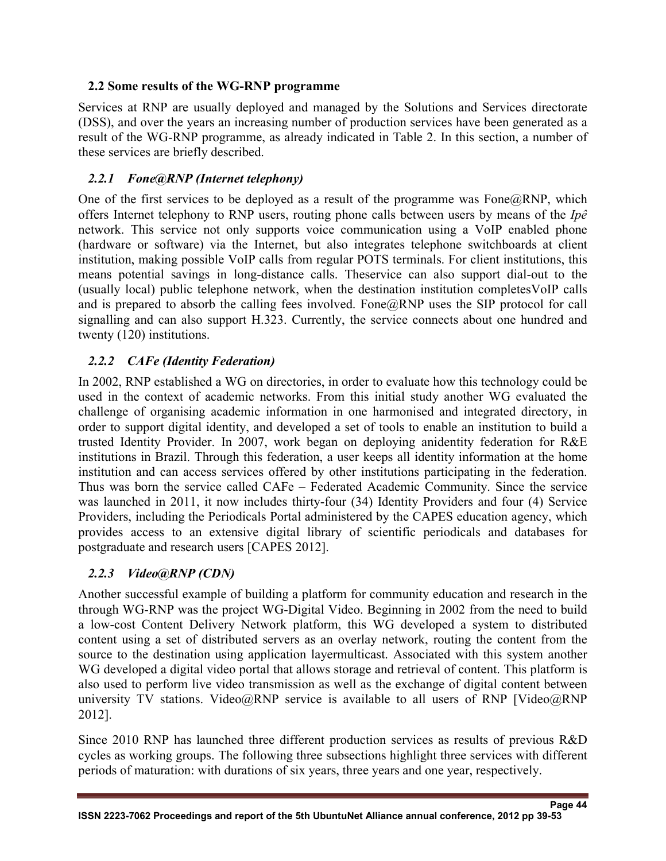#### **2.2 Some results of the WG-RNP programme**

Services at RNP are usually deployed and managed by the Solutions and Services directorate (DSS), and over the years an increasing number of production services have been generated as a result of the WG-RNP programme, as already indicated in Table 2. In this section, a number of these services are briefly described.

## *2.2.1 Fone@RNP (Internet telephony)*

One of the first services to be deployed as a result of the programme was  $Fone@RNP$ , which offers Internet telephony to RNP users, routing phone calls between users by means of the *Ipê* network. This service not only supports voice communication using a VoIP enabled phone (hardware or software) via the Internet, but also integrates telephone switchboards at client institution, making possible VoIP calls from regular POTS terminals. For client institutions, this means potential savings in long-distance calls. Theservice can also support dial-out to the (usually local) public telephone network, when the destination institution completesVoIP calls and is prepared to absorb the calling fees involved. Fone  $\widehat{a}$ RNP uses the SIP protocol for call signalling and can also support H.323. Currently, the service connects about one hundred and twenty (120) institutions.

## *2.2.2 CAFe (Identity Federation)*

In 2002, RNP established a WG on directories, in order to evaluate how this technology could be used in the context of academic networks. From this initial study another WG evaluated the challenge of organising academic information in one harmonised and integrated directory, in order to support digital identity, and developed a set of tools to enable an institution to build a trusted Identity Provider. In 2007, work began on deploying anidentity federation for R&E institutions in Brazil. Through this federation, a user keeps all identity information at the home institution and can access services offered by other institutions participating in the federation. Thus was born the service called CAFe – Federated Academic Community. Since the service was launched in 2011, it now includes thirty-four (34) Identity Providers and four (4) Service Providers, including the Periodicals Portal administered by the CAPES education agency, which provides access to an extensive digital library of scientific periodicals and databases for postgraduate and research users [CAPES 2012].

## *2.2.3 Video@RNP (CDN)*

Another successful example of building a platform for community education and research in the through WG-RNP was the project WG-Digital Video. Beginning in 2002 from the need to build a low-cost Content Delivery Network platform, this WG developed a system to distributed content using a set of distributed servers as an overlay network, routing the content from the source to the destination using application layermulticast. Associated with this system another WG developed a digital video portal that allows storage and retrieval of content. This platform is also used to perform live video transmission as well as the exchange of digital content between university TV stations. Video@RNP service is available to all users of RNP [Video@RNP 2012].

Since 2010 RNP has launched three different production services as results of previous R&D cycles as working groups. The following three subsections highlight three services with different periods of maturation: with durations of six years, three years and one year, respectively.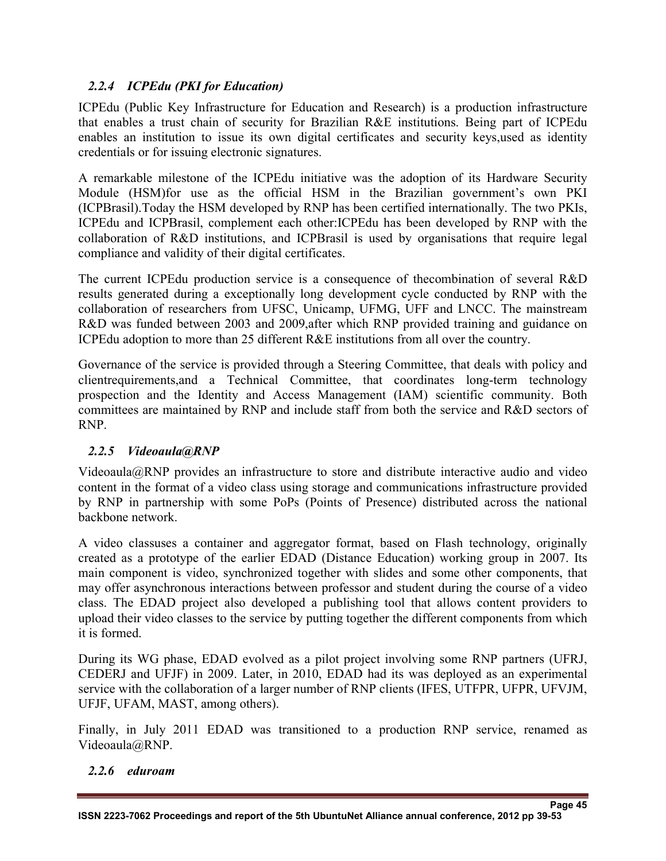## *2.2.4 ICPEdu (PKI for Education)*

ICPEdu (Public Key Infrastructure for Education and Research) is a production infrastructure that enables a trust chain of security for Brazilian R&E institutions. Being part of ICPEdu enables an institution to issue its own digital certificates and security keys,used as identity credentials or for issuing electronic signatures.

A remarkable milestone of the ICPEdu initiative was the adoption of its Hardware Security Module (HSM)for use as the official HSM in the Brazilian government's own PKI (ICPBrasil).Today the HSM developed by RNP has been certified internationally. The two PKIs, ICPEdu and ICPBrasil, complement each other:ICPEdu has been developed by RNP with the collaboration of R&D institutions, and ICPBrasil is used by organisations that require legal compliance and validity of their digital certificates.

The current ICPEdu production service is a consequence of thecombination of several R&D results generated during a exceptionally long development cycle conducted by RNP with the collaboration of researchers from UFSC, Unicamp, UFMG, UFF and LNCC. The mainstream R&D was funded between 2003 and 2009,after which RNP provided training and guidance on ICPEdu adoption to more than 25 different R&E institutions from all over the country.

Governance of the service is provided through a Steering Committee, that deals with policy and clientrequirements,and a Technical Committee, that coordinates long-term technology prospection and the Identity and Access Management (IAM) scientific community. Both committees are maintained by RNP and include staff from both the service and R&D sectors of RNP.

#### *2.2.5 Videoaula@RNP*

Videoaula@RNP provides an infrastructure to store and distribute interactive audio and video content in the format of a video class using storage and communications infrastructure provided by RNP in partnership with some PoPs (Points of Presence) distributed across the national backbone network.

A video classuses a container and aggregator format, based on Flash technology, originally created as a prototype of the earlier EDAD (Distance Education) working group in 2007. Its main component is video, synchronized together with slides and some other components, that may offer asynchronous interactions between professor and student during the course of a video class. The EDAD project also developed a publishing tool that allows content providers to upload their video classes to the service by putting together the different components from which it is formed.

During its WG phase, EDAD evolved as a pilot project involving some RNP partners (UFRJ, CEDERJ and UFJF) in 2009. Later, in 2010, EDAD had its was deployed as an experimental service with the collaboration of a larger number of RNP clients (IFES, UTFPR, UFPR, UFVJM, UFJF, UFAM, MAST, among others).

Finally, in July 2011 EDAD was transitioned to a production RNP service, renamed as Videoaula@RNP.

#### *2.2.6 eduroam*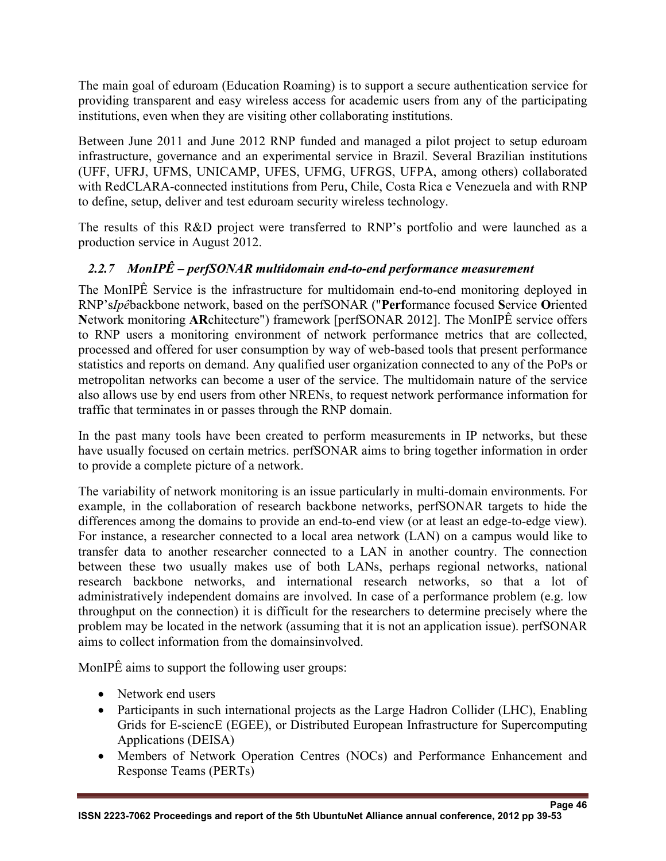The main goal of eduroam (Education Roaming) is to support a secure authentication service for providing transparent and easy wireless access for academic users from any of the participating institutions, even when they are visiting other collaborating institutions.

Between June 2011 and June 2012 RNP funded and managed a pilot project to setup eduroam infrastructure, governance and an experimental service in Brazil. Several Brazilian institutions (UFF, UFRJ, UFMS, UNICAMP, UFES, UFMG, UFRGS, UFPA, among others) collaborated with RedCLARA-connected institutions from Peru, Chile, Costa Rica e Venezuela and with RNP to define, setup, deliver and test eduroam security wireless technology.

The results of this R&D project were transferred to RNP's portfolio and were launched as a production service in August 2012.

## *2.2.7 MonIPÊ – perfSONAR multidomain end-to-end performance measurement*

The MonIPÊ Service is the infrastructure for multidomain end-to-end monitoring deployed in RNP's*Ipê*backbone network, based on the perfSONAR ("**Perf**ormance focused **S**ervice **O**riented **N**etwork monitoring **AR**chitecture") framework [perfSONAR 2012]. The MonIPÊ service offers to RNP users a monitoring environment of network performance metrics that are collected, processed and offered for user consumption by way of web-based tools that present performance statistics and reports on demand. Any qualified user organization connected to any of the PoPs or metropolitan networks can become a user of the service. The multidomain nature of the service also allows use by end users from other NRENs, to request network performance information for traffic that terminates in or passes through the RNP domain.

In the past many tools have been created to perform measurements in IP networks, but these have usually focused on certain metrics. perfSONAR aims to bring together information in order to provide a complete picture of a network.

The variability of network monitoring is an issue particularly in multi-domain environments. For example, in the collaboration of research backbone networks, perfSONAR targets to hide the differences among the domains to provide an end-to-end view (or at least an edge-to-edge view). For instance, a researcher connected to a local area network (LAN) on a campus would like to transfer data to another researcher connected to a LAN in another country. The connection between these two usually makes use of both LANs, perhaps regional networks, national research backbone networks, and international research networks, so that a lot of administratively independent domains are involved. In case of a performance problem (e.g. low throughput on the connection) it is difficult for the researchers to determine precisely where the problem may be located in the network (assuming that it is not an application issue). perfSONAR aims to collect information from the domainsinvolved.

MonIPÊ aims to support the following user groups:

- Network end users
- Participants in such international projects as the Large Hadron Collider (LHC), Enabling Grids for E-sciencE (EGEE), or Distributed European Infrastructure for Supercomputing Applications (DEISA)
- Members of Network Operation Centres (NOCs) and Performance Enhancement and Response Teams (PERTs)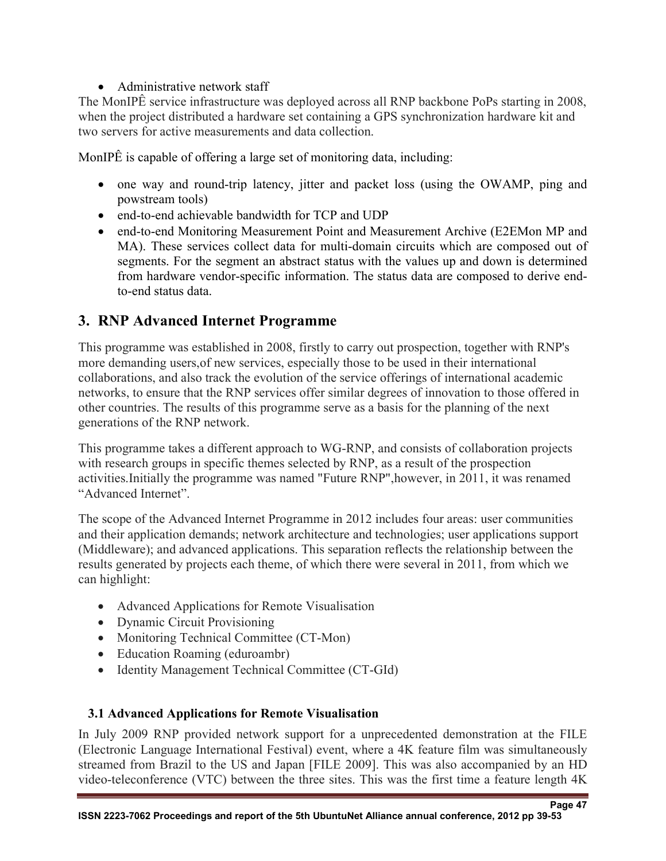## • Administrative network staff

The MonIPÊ service infrastructure was deployed across all RNP backbone PoPs starting in 2008, when the project distributed a hardware set containing a GPS synchronization hardware kit and two servers for active measurements and data collection.

MonIPÊ is capable of offering a large set of monitoring data, including:

- one way and round-trip latency, jitter and packet loss (using the OWAMP, ping and powstream tools)
- end-to-end achievable bandwidth for TCP and UDP
- end-to-end Monitoring Measurement Point and Measurement Archive (E2EMon MP and MA). These services collect data for multi-domain circuits which are composed out of segments. For the segment an abstract status with the values up and down is determined from hardware vendor-specific information. The status data are composed to derive endto-end status data.

# **3. RNP Advanced Internet Programme**

This programme was established in 2008, firstly to carry out prospection, together with RNP's more demanding users,of new services, especially those to be used in their international collaborations, and also track the evolution of the service offerings of international academic networks, to ensure that the RNP services offer similar degrees of innovation to those offered in other countries. The results of this programme serve as a basis for the planning of the next generations of the RNP network.

This programme takes a different approach to WG-RNP, and consists of collaboration projects with research groups in specific themes selected by RNP, as a result of the prospection activities.Initially the programme was named "Future RNP",however, in 2011, it was renamed "Advanced Internet".

The scope of the Advanced Internet Programme in 2012 includes four areas: user communities and their application demands; network architecture and technologies; user applications support (Middleware); and advanced applications. This separation reflects the relationship between the results generated by projects each theme, of which there were several in 2011, from which we can highlight:

- Advanced Applications for Remote Visualisation
- Dynamic Circuit Provisioning
- Monitoring Technical Committee (CT-Mon)
- Education Roaming (eduroambr)
- Identity Management Technical Committee (CT-GId)

## **3.1 Advanced Applications for Remote Visualisation**

In July 2009 RNP provided network support for a unprecedented demonstration at the FILE (Electronic Language International Festival) event, where a 4K feature film was simultaneously streamed from Brazil to the US and Japan [FILE 2009]. This was also accompanied by an HD video-teleconference (VTC) between the three sites. This was the first time a feature length 4K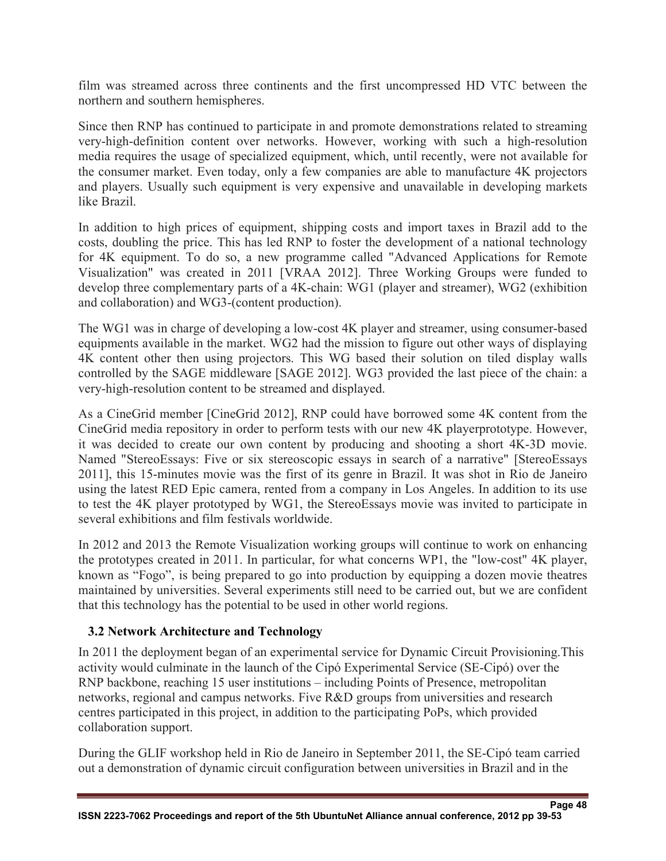film was streamed across three continents and the first uncompressed HD VTC between the northern and southern hemispheres.

Since then RNP has continued to participate in and promote demonstrations related to streaming very-high-definition content over networks. However, working with such a high-resolution media requires the usage of specialized equipment, which, until recently, were not available for the consumer market. Even today, only a few companies are able to manufacture 4K projectors and players. Usually such equipment is very expensive and unavailable in developing markets like Brazil.

In addition to high prices of equipment, shipping costs and import taxes in Brazil add to the costs, doubling the price. This has led RNP to foster the development of a national technology for 4K equipment. To do so, a new programme called "Advanced Applications for Remote Visualization" was created in 2011 [VRAA 2012]. Three Working Groups were funded to develop three complementary parts of a 4K-chain: WG1 (player and streamer), WG2 (exhibition and collaboration) and WG3-(content production).

The WG1 was in charge of developing a low-cost 4K player and streamer, using consumer-based equipments available in the market. WG2 had the mission to figure out other ways of displaying 4K content other then using projectors. This WG based their solution on tiled display walls controlled by the SAGE middleware [SAGE 2012]. WG3 provided the last piece of the chain: a very-high-resolution content to be streamed and displayed.

As a CineGrid member [CineGrid 2012], RNP could have borrowed some 4K content from the CineGrid media repository in order to perform tests with our new 4K playerprototype. However, it was decided to create our own content by producing and shooting a short 4K-3D movie. Named "StereoEssays: Five or six stereoscopic essays in search of a narrative" [StereoEssays 2011], this 15-minutes movie was the first of its genre in Brazil. It was shot in Rio de Janeiro using the latest RED Epic camera, rented from a company in Los Angeles. In addition to its use to test the 4K player prototyped by WG1, the StereoEssays movie was invited to participate in several exhibitions and film festivals worldwide.

In 2012 and 2013 the Remote Visualization working groups will continue to work on enhancing the prototypes created in 2011. In particular, for what concerns WP1, the "low-cost" 4K player, known as "Fogo", is being prepared to go into production by equipping a dozen movie theatres maintained by universities. Several experiments still need to be carried out, but we are confident that this technology has the potential to be used in other world regions.

#### **3.2 Network Architecture and Technology**

In 2011 the deployment began of an experimental service for Dynamic Circuit Provisioning.This activity would culminate in the launch of the Cipó Experimental Service (SE-Cipó) over the RNP backbone, reaching 15 user institutions – including Points of Presence, metropolitan networks, regional and campus networks. Five R&D groups from universities and research centres participated in this project, in addition to the participating PoPs, which provided collaboration support.

During the GLIF workshop held in Rio de Janeiro in September 2011, the SE-Cipó team carried out a demonstration of dynamic circuit configuration between universities in Brazil and in the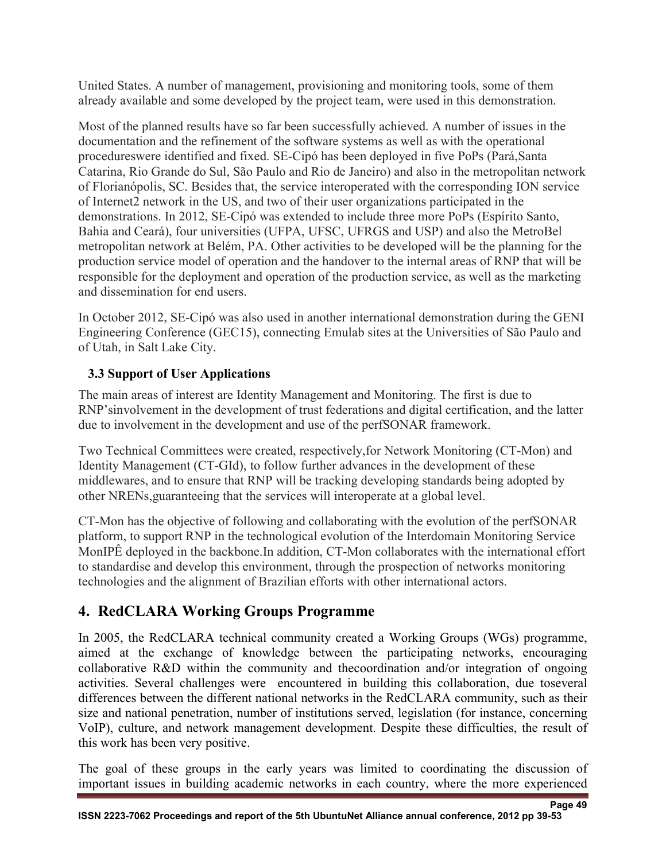United States. A number of management, provisioning and monitoring tools, some of them already available and some developed by the project team, were used in this demonstration.

Most of the planned results have so far been successfully achieved. A number of issues in the documentation and the refinement of the software systems as well as with the operational procedureswere identified and fixed. SE-Cipó has been deployed in five PoPs (Pará,Santa Catarina, Rio Grande do Sul, São Paulo and Rio de Janeiro) and also in the metropolitan network of Florianópolis, SC. Besides that, the service interoperated with the corresponding ION service of Internet2 network in the US, and two of their user organizations participated in the demonstrations. In 2012, SE-Cipó was extended to include three more PoPs (Espírito Santo, Bahia and Ceará), four universities (UFPA, UFSC, UFRGS and USP) and also the MetroBel metropolitan network at Belém, PA. Other activities to be developed will be the planning for the production service model of operation and the handover to the internal areas of RNP that will be responsible for the deployment and operation of the production service, as well as the marketing and dissemination for end users.

In October 2012, SE-Cipó was also used in another international demonstration during the GENI Engineering Conference (GEC15), connecting Emulab sites at the Universities of São Paulo and of Utah, in Salt Lake City.

## **3.3 Support of User Applications**

The main areas of interest are Identity Management and Monitoring. The first is due to RNP'sinvolvement in the development of trust federations and digital certification, and the latter due to involvement in the development and use of the perfSONAR framework.

Two Technical Committees were created, respectively,for Network Monitoring (CT-Mon) and Identity Management (CT-GId), to follow further advances in the development of these middlewares, and to ensure that RNP will be tracking developing standards being adopted by other NRENs,guaranteeing that the services will interoperate at a global level.

CT-Mon has the objective of following and collaborating with the evolution of the perfSONAR platform, to support RNP in the technological evolution of the Interdomain Monitoring Service MonIPÊ deployed in the backbone.In addition, CT-Mon collaborates with the international effort to standardise and develop this environment, through the prospection of networks monitoring technologies and the alignment of Brazilian efforts with other international actors.

# **4. RedCLARA Working Groups Programme**

In 2005, the RedCLARA technical community created a Working Groups (WGs) programme, aimed at the exchange of knowledge between the participating networks, encouraging collaborative R&D within the community and thecoordination and/or integration of ongoing activities. Several challenges were encountered in building this collaboration, due toseveral differences between the different national networks in the RedCLARA community, such as their size and national penetration, number of institutions served, legislation (for instance, concerning VoIP), culture, and network management development. Despite these difficulties, the result of this work has been very positive.

The goal of these groups in the early years was limited to coordinating the discussion of important issues in building academic networks in each country, where the more experienced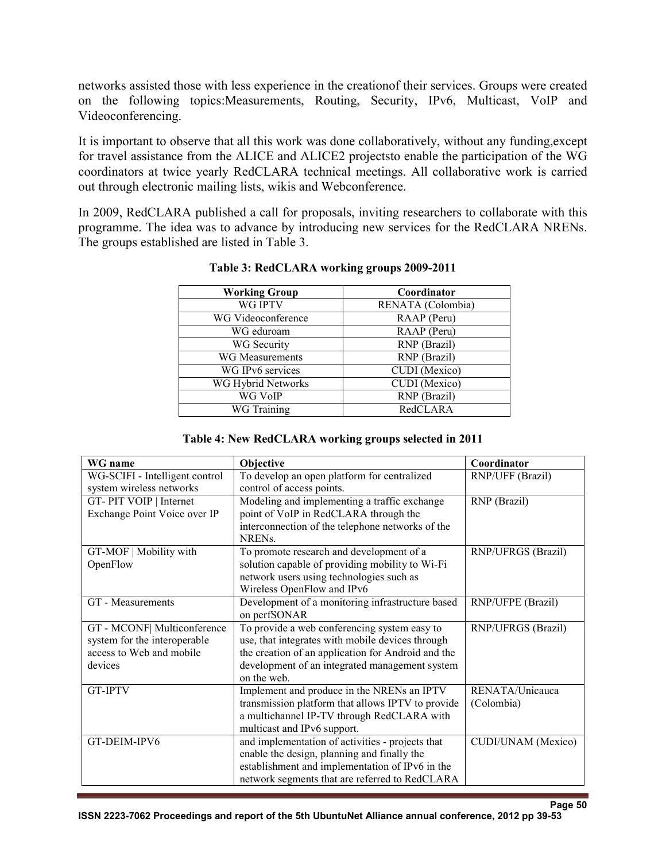networks assisted those with less experience in the creationof their services. Groups were created on the following topics:Measurements, Routing, Security, IPv6, Multicast, VoIP and Videoconferencing.

It is important to observe that all this work was done collaboratively, without any funding,except for travel assistance from the ALICE and ALICE2 projectsto enable the participation of the WG coordinators at twice yearly RedCLARA technical meetings. All collaborative work is carried out through electronic mailing lists, wikis and Webconference.

In 2009, RedCLARA published a call for proposals, inviting researchers to collaborate with this programme. The idea was to advance by introducing new services for the RedCLARA NRENs. The groups established are listed in Table 3.

| <b>Working Group</b>   | Coordinator       |
|------------------------|-------------------|
| <b>WG IPTV</b>         | RENATA (Colombia) |
| WG Videoconference     | RAAP (Peru)       |
| WG eduroam             | RAAP (Peru)       |
| WG Security            | RNP (Brazil)      |
| <b>WG Measurements</b> | RNP (Brazil)      |
| WG IPv6 services       | CUDI (Mexico)     |
| WG Hybrid Networks     | CUDI (Mexico)     |
| WG VoIP                | RNP (Brazil)      |
| WG Training            | RedCLARA          |

#### **Table 3: RedCLARA working groups 2009-2011**

#### **Table 4: New RedCLARA working groups selected in 2011**

| WG name                        | Objective                                          | Coordinator               |
|--------------------------------|----------------------------------------------------|---------------------------|
| WG-SCIFI - Intelligent control | To develop an open platform for centralized        | RNP/UFF (Brazil)          |
| system wireless networks       | control of access points.                          |                           |
| GT-PIT VOIP   Internet         | Modeling and implementing a traffic exchange       | RNP (Brazil)              |
| Exchange Point Voice over IP   | point of VoIP in RedCLARA through the              |                           |
|                                | interconnection of the telephone networks of the   |                           |
|                                | <b>NRENs</b>                                       |                           |
| GT-MOF   Mobility with         | To promote research and development of a           | RNP/UFRGS (Brazil)        |
| OpenFlow                       | solution capable of providing mobility to Wi-Fi    |                           |
|                                | network users using technologies such as           |                           |
|                                | Wireless OpenFlow and IPv6                         |                           |
| GT - Measurements              | Development of a monitoring infrastructure based   | RNP/UFPE (Brazil)         |
|                                | on perfSONAR                                       |                           |
| GT - MCONF   Multiconference   | To provide a web conferencing system easy to       | RNP/UFRGS (Brazil)        |
| system for the interoperable   | use, that integrates with mobile devices through   |                           |
| access to Web and mobile       | the creation of an application for Android and the |                           |
| devices                        | development of an integrated management system     |                           |
|                                | on the web.                                        |                           |
| <b>GT-IPTV</b>                 | Implement and produce in the NRENs an IPTV         | RENATA/Unicauca           |
|                                | transmission platform that allows IPTV to provide  | (Colombia)                |
|                                | a multichannel IP-TV through RedCLARA with         |                           |
|                                | multicast and IPv6 support.                        |                           |
| GT-DEIM-IPV6                   | and implementation of activities - projects that   | <b>CUDI/UNAM</b> (Mexico) |
|                                | enable the design, planning and finally the        |                           |
|                                | establishment and implementation of IPv6 in the    |                           |
|                                | network segments that are referred to RedCLARA     |                           |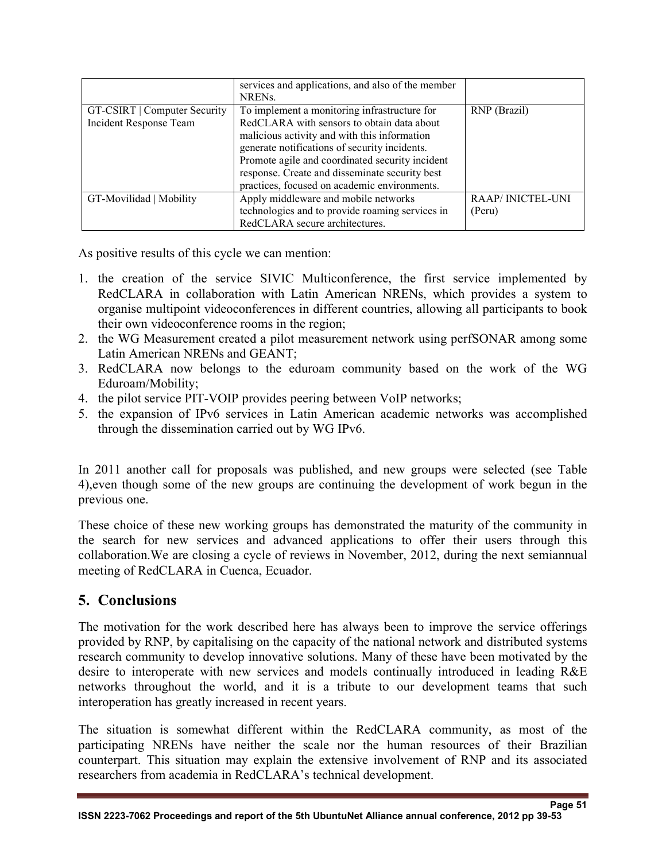|                              | services and applications, and also of the member<br>NREN <sub>s</sub> . |                         |
|------------------------------|--------------------------------------------------------------------------|-------------------------|
| GT-CSIRT   Computer Security | To implement a monitoring infrastructure for                             | RNP (Brazil)            |
| Incident Response Team       | RedCLARA with sensors to obtain data about                               |                         |
|                              | malicious activity and with this information                             |                         |
|                              | generate notifications of security incidents.                            |                         |
|                              | Promote agile and coordinated security incident                          |                         |
|                              | response. Create and disseminate security best                           |                         |
|                              | practices, focused on academic environments.                             |                         |
| GT-Movilidad   Mobility      | Apply middleware and mobile networks                                     | <b>RAAP/INICTEL-UNI</b> |
|                              | technologies and to provide roaming services in                          | (Peru)                  |
|                              | RedCLARA secure architectures.                                           |                         |

As positive results of this cycle we can mention:

- 1. the creation of the service SIVIC Multiconference, the first service implemented by RedCLARA in collaboration with Latin American NRENs, which provides a system to organise multipoint videoconferences in different countries, allowing all participants to book their own videoconference rooms in the region;
- 2. the WG Measurement created a pilot measurement network using perfSONAR among some Latin American NRENs and GEANT;
- 3. RedCLARA now belongs to the eduroam community based on the work of the WG Eduroam/Mobility;
- 4. the pilot service PIT-VOIP provides peering between VoIP networks;
- 5. the expansion of IPv6 services in Latin American academic networks was accomplished through the dissemination carried out by WG IPv6.

In 2011 another call for proposals was published, and new groups were selected (see Table 4),even though some of the new groups are continuing the development of work begun in the previous one.

These choice of these new working groups has demonstrated the maturity of the community in the search for new services and advanced applications to offer their users through this collaboration.We are closing a cycle of reviews in November, 2012, during the next semiannual meeting of RedCLARA in Cuenca, Ecuador.

## **5. Conclusions**

The motivation for the work described here has always been to improve the service offerings provided by RNP, by capitalising on the capacity of the national network and distributed systems research community to develop innovative solutions. Many of these have been motivated by the desire to interoperate with new services and models continually introduced in leading R&E networks throughout the world, and it is a tribute to our development teams that such interoperation has greatly increased in recent years.

The situation is somewhat different within the RedCLARA community, as most of the participating NRENs have neither the scale nor the human resources of their Brazilian counterpart. This situation may explain the extensive involvement of RNP and its associated researchers from academia in RedCLARA's technical development.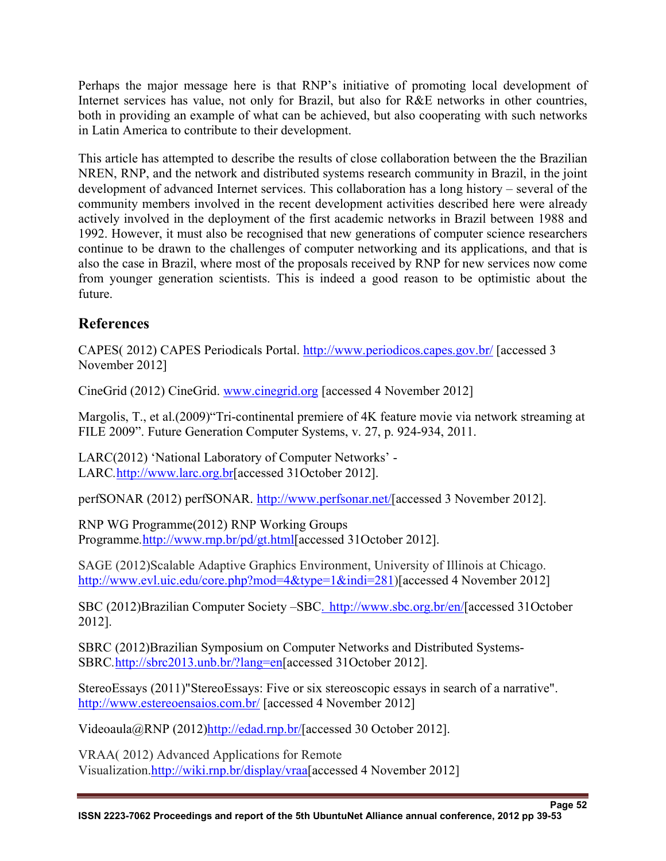Perhaps the major message here is that RNP's initiative of promoting local development of Internet services has value, not only for Brazil, but also for R&E networks in other countries, both in providing an example of what can be achieved, but also cooperating with such networks in Latin America to contribute to their development.

This article has attempted to describe the results of close collaboration between the the Brazilian NREN, RNP, and the network and distributed systems research community in Brazil, in the joint development of advanced Internet services. This collaboration has a long history – several of the community members involved in the recent development activities described here were already actively involved in the deployment of the first academic networks in Brazil between 1988 and 1992. However, it must also be recognised that new generations of computer science researchers continue to be drawn to the challenges of computer networking and its applications, and that is also the case in Brazil, where most of the proposals received by RNP for new services now come from younger generation scientists. This is indeed a good reason to be optimistic about the future.

# **References**

CAPES( 2012) CAPES Periodicals Portal. http://www.periodicos.capes.gov.br/ [accessed 3 November 2012]

CineGrid (2012) CineGrid. www.cinegrid.org [accessed 4 November 2012]

Margolis, T., et al.(2009)"Tri-continental premiere of 4K feature movie via network streaming at FILE 2009". Future Generation Computer Systems, v. 27, p. 924-934, 2011.

LARC(2012) 'National Laboratory of Computer Networks' - LARC*.*http://www.larc.org.br[accessed 31October 2012].

perfSONAR (2012) perfSONAR. http://www.perfsonar.net/[accessed 3 November 2012].

RNP WG Programme(2012) RNP Working Groups Programme*.*http://www.rnp.br/pd/gt.html[accessed 31October 2012].

SAGE (2012)Scalable Adaptive Graphics Environment, University of Illinois at Chicago. http://www.evl.uic.edu/core.php?mod=4&type=1&indi=281)[accessed 4 November 2012]

SBC (2012)Brazilian Computer Society –SBC. http://www.sbc.org.br/en/[accessed 31October 2012].

SBRC (2012)Brazilian Symposium on Computer Networks and Distributed Systems-SBRC*.*http://sbrc2013.unb.br/?lang=en[accessed 31October 2012].

StereoEssays (2011)"StereoEssays: Five or six stereoscopic essays in search of a narrative". http://www.estereoensaios.com.br/ [accessed 4 November 2012]

Videoaula@RNP (2012)http://edad.rnp.br/[accessed 30 October 2012].

VRAA( 2012) Advanced Applications for Remote Visualization.http://wiki.rnp.br/display/vraa[accessed 4 November 2012]